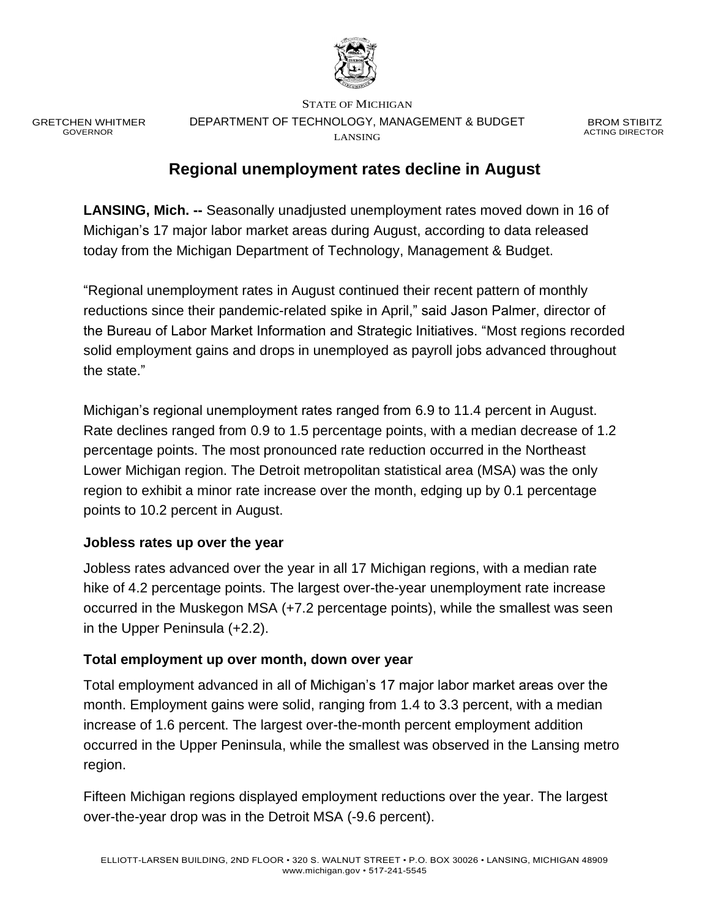

GRETCHEN WHITMER GOVERNOR

STATE OF MICHIGAN DEPARTMENT OF TECHNOLOGY, MANAGEMENT & BUDGET LANSING

BROM STIBITZ ACTING DIRECTOR

## **Regional unemployment rates decline in August**

**LANSING, Mich. --** Seasonally unadjusted unemployment rates moved down in 16 of Michigan's 17 major labor market areas during August, according to data released today from the Michigan Department of Technology, Management & Budget.

"Regional unemployment rates in August continued their recent pattern of monthly reductions since their pandemic-related spike in April," said Jason Palmer, director of the Bureau of Labor Market Information and Strategic Initiatives. "Most regions recorded solid employment gains and drops in unemployed as payroll jobs advanced throughout the state."

Michigan's regional unemployment rates ranged from 6.9 to 11.4 percent in August. Rate declines ranged from 0.9 to 1.5 percentage points, with a median decrease of 1.2 percentage points. The most pronounced rate reduction occurred in the Northeast Lower Michigan region. The Detroit metropolitan statistical area (MSA) was the only region to exhibit a minor rate increase over the month, edging up by 0.1 percentage points to 10.2 percent in August.

### **Jobless rates up over the year**

Jobless rates advanced over the year in all 17 Michigan regions, with a median rate hike of 4.2 percentage points. The largest over-the-year unemployment rate increase occurred in the Muskegon MSA (+7.2 percentage points), while the smallest was seen in the Upper Peninsula (+2.2).

### **Total employment up over month, down over year**

Total employment advanced in all of Michigan's 17 major labor market areas over the month. Employment gains were solid, ranging from 1.4 to 3.3 percent, with a median increase of 1.6 percent. The largest over-the-month percent employment addition occurred in the Upper Peninsula, while the smallest was observed in the Lansing metro region.

Fifteen Michigan regions displayed employment reductions over the year. The largest over-the-year drop was in the Detroit MSA (-9.6 percent).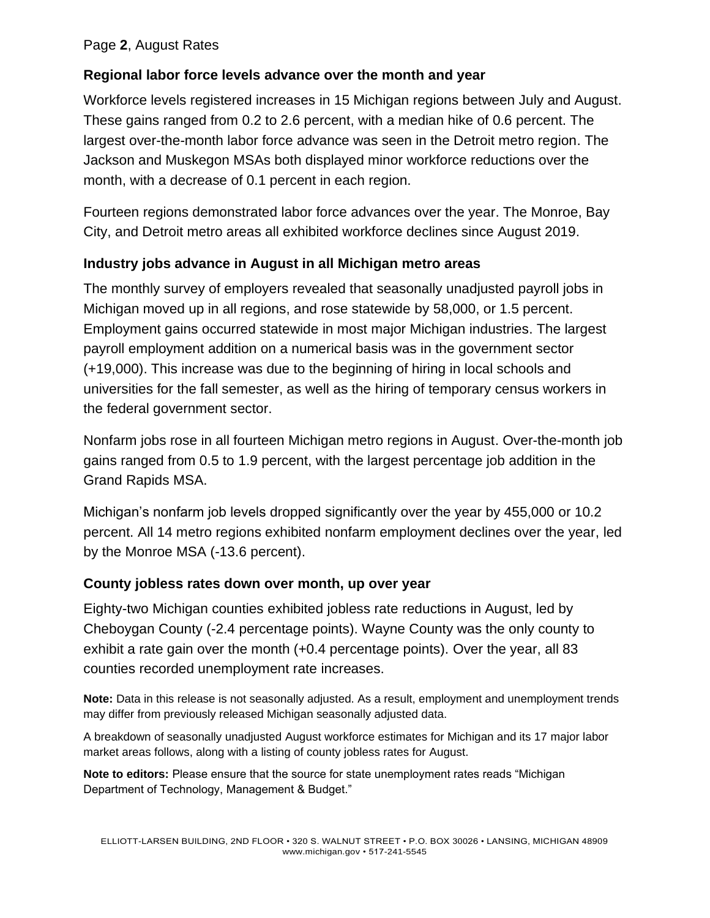#### Page **2**, August Rates

### **Regional labor force levels advance over the month and year**

Workforce levels registered increases in 15 Michigan regions between July and August. These gains ranged from 0.2 to 2.6 percent, with a median hike of 0.6 percent. The largest over-the-month labor force advance was seen in the Detroit metro region. The Jackson and Muskegon MSAs both displayed minor workforce reductions over the month, with a decrease of 0.1 percent in each region.

Fourteen regions demonstrated labor force advances over the year. The Monroe, Bay City, and Detroit metro areas all exhibited workforce declines since August 2019.

### **Industry jobs advance in August in all Michigan metro areas**

The monthly survey of employers revealed that seasonally unadjusted payroll jobs in Michigan moved up in all regions, and rose statewide by 58,000, or 1.5 percent. Employment gains occurred statewide in most major Michigan industries. The largest payroll employment addition on a numerical basis was in the government sector (+19,000). This increase was due to the beginning of hiring in local schools and universities for the fall semester, as well as the hiring of temporary census workers in the federal government sector.

Nonfarm jobs rose in all fourteen Michigan metro regions in August. Over-the-month job gains ranged from 0.5 to 1.9 percent, with the largest percentage job addition in the Grand Rapids MSA.

Michigan's nonfarm job levels dropped significantly over the year by 455,000 or 10.2 percent. All 14 metro regions exhibited nonfarm employment declines over the year, led by the Monroe MSA (-13.6 percent).

### **County jobless rates down over month, up over year**

Eighty-two Michigan counties exhibited jobless rate reductions in August, led by Cheboygan County (-2.4 percentage points). Wayne County was the only county to exhibit a rate gain over the month (+0.4 percentage points). Over the year, all 83 counties recorded unemployment rate increases.

**Note:** Data in this release is not seasonally adjusted. As a result, employment and unemployment trends may differ from previously released Michigan seasonally adjusted data.

A breakdown of seasonally unadjusted August workforce estimates for Michigan and its 17 major labor market areas follows, along with a listing of county jobless rates for August.

**Note to editors:** Please ensure that the source for state unemployment rates reads "Michigan Department of Technology, Management & Budget."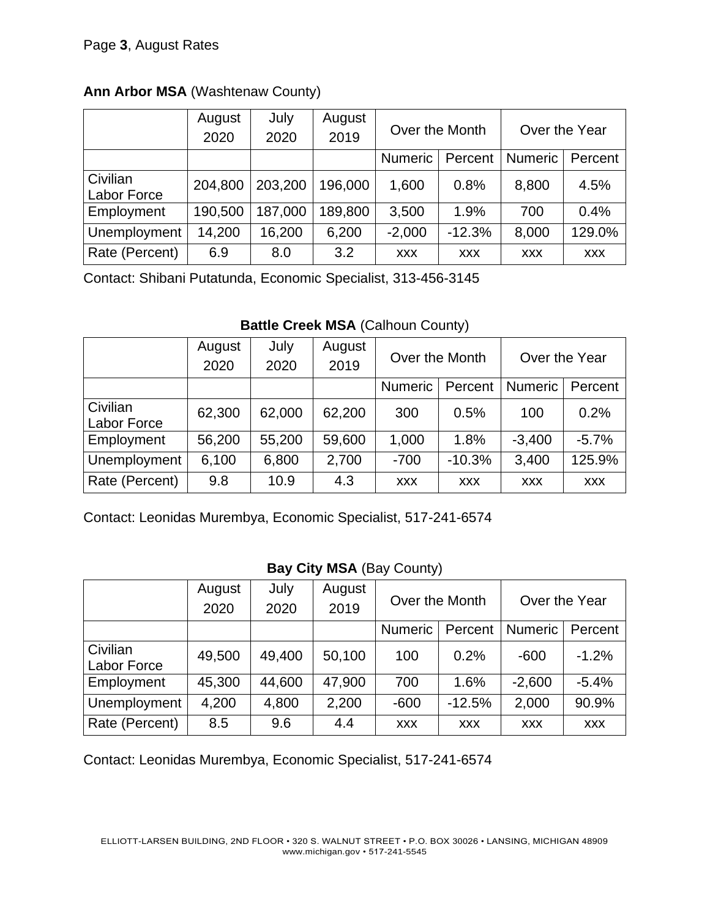### **Ann Arbor MSA** (Washtenaw County)

|                         | August<br>2020 | July<br>2020 | August<br>2019 | Over the Month |            | Over the Year  |            |
|-------------------------|----------------|--------------|----------------|----------------|------------|----------------|------------|
|                         |                |              |                | <b>Numeric</b> | Percent    | <b>Numeric</b> | Percent    |
| Civilian<br>Labor Force | 204,800        | 203,200      | 196,000        | 1,600          | 0.8%       | 8,800          | 4.5%       |
| Employment              | 190,500        | 187,000      | 189,800        | 3,500          | 1.9%       | 700            | 0.4%       |
| Unemployment            | 14,200         | 16,200       | 6,200          | $-2,000$       | $-12.3%$   | 8,000          | 129.0%     |
| Rate (Percent)          | 6.9            | 8.0          | 3.2            | <b>XXX</b>     | <b>XXX</b> | <b>XXX</b>     | <b>XXX</b> |

Contact: Shibani Putatunda, Economic Specialist, 313-456-3145

### **Battle Creek MSA (Calhoun County)**

|                                | August<br>2020 | July<br>2020 | August<br>2019 | Over the Month |            | Over the Year  |            |
|--------------------------------|----------------|--------------|----------------|----------------|------------|----------------|------------|
|                                |                |              |                | <b>Numeric</b> | Percent    | <b>Numeric</b> | Percent    |
| Civilian<br><b>Labor Force</b> | 62,300         | 62,000       | 62,200         | 300            | 0.5%       | 100            | 0.2%       |
| Employment                     | 56,200         | 55,200       | 59,600         | 1,000          | 1.8%       | $-3,400$       | $-5.7%$    |
| Unemployment                   | 6,100          | 6,800        | 2,700          | $-700$         | $-10.3%$   | 3,400          | 125.9%     |
| Rate (Percent)                 | 9.8            | 10.9         | 4.3            | <b>XXX</b>     | <b>XXX</b> | <b>XXX</b>     | <b>XXX</b> |

Contact: Leonidas Murembya, Economic Specialist, 517-241-6574

### **Bay City MSA** (Bay County)

|                                | August | July   | August | Over the Month |            | Over the Year  |            |
|--------------------------------|--------|--------|--------|----------------|------------|----------------|------------|
|                                | 2020   | 2020   | 2019   |                |            |                |            |
|                                |        |        |        | <b>Numeric</b> | Percent    | <b>Numeric</b> | Percent    |
| Civilian<br><b>Labor Force</b> | 49,500 | 49,400 | 50,100 | 100            | 0.2%       | $-600$         | $-1.2%$    |
| Employment                     | 45,300 | 44,600 | 47,900 | 700            | 1.6%       | $-2,600$       | $-5.4%$    |
| Unemployment                   | 4,200  | 4,800  | 2,200  | $-600$         | $-12.5%$   | 2,000          | 90.9%      |
| Rate (Percent)                 | 8.5    | 9.6    | 4.4    | <b>XXX</b>     | <b>XXX</b> | <b>XXX</b>     | <b>XXX</b> |

Contact: Leonidas Murembya, Economic Specialist, 517-241-6574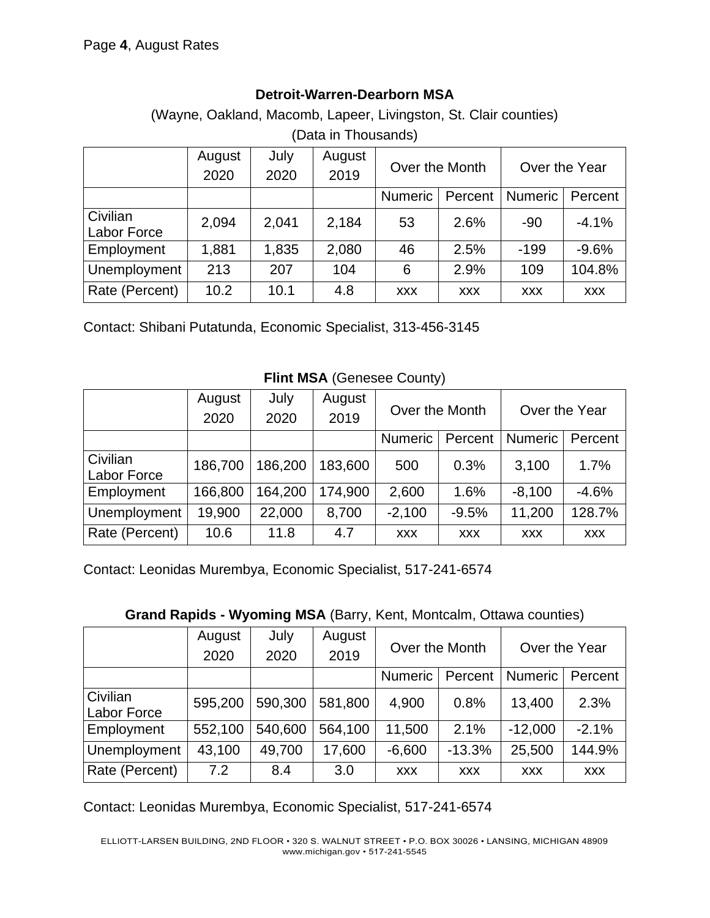### **Detroit-Warren-Dearborn MSA**

(Wayne, Oakland, Macomb, Lapeer, Livingston, St. Clair counties) (Data in Thousands)

|                         | August | July  | August | Over the Month |            | Over the Year  |            |
|-------------------------|--------|-------|--------|----------------|------------|----------------|------------|
|                         | 2020   | 2020  | 2019   |                |            |                |            |
|                         |        |       |        | Numeric        | Percent    | <b>Numeric</b> | Percent    |
| Civilian<br>Labor Force | 2,094  | 2,041 | 2,184  | 53             | 2.6%       | $-90$          | $-4.1%$    |
| Employment              | 1,881  | 1,835 | 2,080  | 46             | 2.5%       | $-199$         | $-9.6%$    |
| Unemployment            | 213    | 207   | 104    | 6              | 2.9%       | 109            | 104.8%     |
| Rate (Percent)          | 10.2   | 10.1  | 4.8    | <b>XXX</b>     | <b>XXX</b> | <b>XXX</b>     | <b>XXX</b> |

Contact: Shibani Putatunda, Economic Specialist, 313-456-3145

# **Flint MSA** (Genesee County)

|                         | August<br>2020 | July<br>2020 | August<br>2019 | Over the Month |            | Over the Year  |            |
|-------------------------|----------------|--------------|----------------|----------------|------------|----------------|------------|
|                         |                |              |                | <b>Numeric</b> | Percent    | <b>Numeric</b> | Percent    |
| Civilian<br>Labor Force | 186,700        | 186,200      | 183,600        | 500            | 0.3%       | 3,100          | 1.7%       |
| Employment              | 166,800        | 64,200       | 174,900        | 2,600          | 1.6%       | $-8,100$       | $-4.6%$    |
| Unemployment            | 19,900         | 22,000       | 8,700          | $-2,100$       | $-9.5%$    | 11,200         | 128.7%     |
| Rate (Percent)          | 10.6           | 11.8         | 4.7            | <b>XXX</b>     | <b>XXX</b> | <b>XXX</b>     | <b>XXX</b> |

Contact: Leonidas Murembya, Economic Specialist, 517-241-6574

| <b>Grand Rapids - Wyoming MSA</b> (Barry, Kent, Montcalm, Ottawa counties) |  |
|----------------------------------------------------------------------------|--|
|----------------------------------------------------------------------------|--|

|                                | August<br>2020 | July<br>2020 | August<br>2019 | Over the Month |            | Over the Year  |            |
|--------------------------------|----------------|--------------|----------------|----------------|------------|----------------|------------|
|                                |                |              |                | <b>Numeric</b> | Percent    | <b>Numeric</b> | Percent    |
| Civilian<br><b>Labor Force</b> | 595,200        | 590,300      | 581,800        | 4,900          | 0.8%       | 13,400         | 2.3%       |
| Employment                     | 552,100        | 540,600      | 564,100        | 11,500         | 2.1%       | $-12,000$      | $-2.1%$    |
| Unemployment                   | 43,100         | 49,700       | 17,600         | $-6,600$       | $-13.3%$   | 25,500         | 144.9%     |
| Rate (Percent)                 | 7.2            | 8.4          | 3.0            | <b>XXX</b>     | <b>XXX</b> | <b>XXX</b>     | <b>XXX</b> |

Contact: Leonidas Murembya, Economic Specialist, 517-241-6574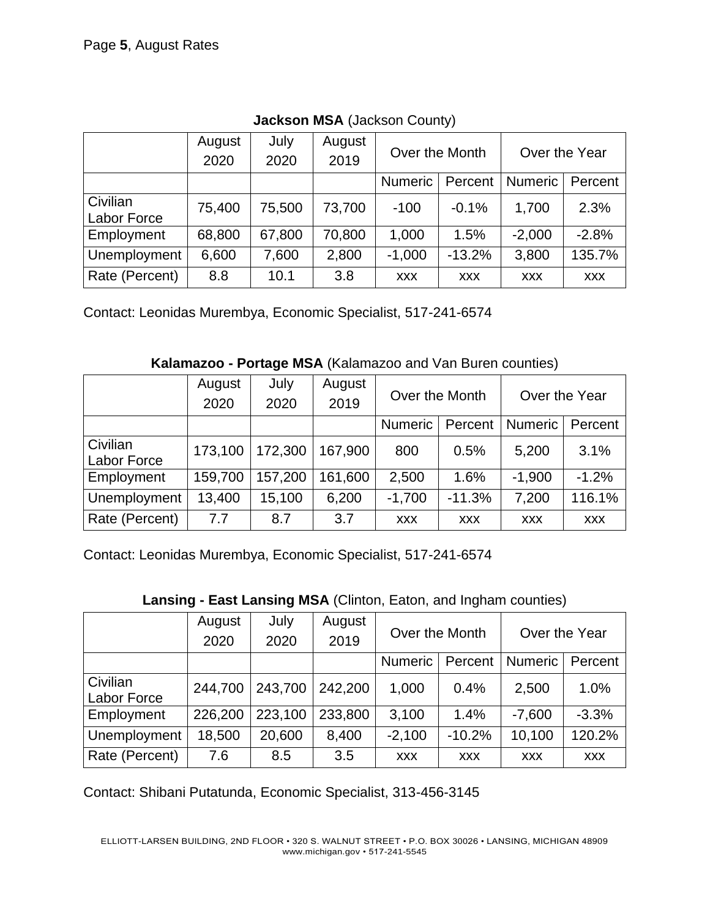|                         | August<br>2020 | July<br>2020 | August<br>2019 | Over the Month |            | Over the Year  |            |
|-------------------------|----------------|--------------|----------------|----------------|------------|----------------|------------|
|                         |                |              |                | <b>Numeric</b> | Percent    | <b>Numeric</b> | Percent    |
| Civilian<br>Labor Force | 75,400         | 75,500       | 73,700         | $-100$         | $-0.1%$    | 1,700          | 2.3%       |
| Employment              | 68,800         | 67,800       | 70,800         | 1,000          | 1.5%       | $-2,000$       | $-2.8%$    |
| Unemployment            | 6,600          | 7,600        | 2,800          | $-1,000$       | $-13.2%$   | 3,800          | 135.7%     |
| Rate (Percent)          | 8.8            | 10.1         | 3.8            | <b>XXX</b>     | <b>XXX</b> | <b>XXX</b>     | <b>XXX</b> |

**Jackson MSA** (Jackson County)

Contact: Leonidas Murembya, Economic Specialist, 517-241-6574

**Kalamazoo - Portage MSA** (Kalamazoo and Van Buren counties)

|                | August  | July    | August  | Over the Month |            | Over the Year  |            |
|----------------|---------|---------|---------|----------------|------------|----------------|------------|
|                | 2020    | 2020    | 2019    |                |            |                |            |
|                |         |         |         | <b>Numeric</b> | Percent    | <b>Numeric</b> | Percent    |
| Civilian       | 173,100 | 172,300 | 167,900 | 800            | 0.5%       | 5,200          | 3.1%       |
| Labor Force    |         |         |         |                |            |                |            |
| Employment     | 159,700 | 157,200 | 161,600 | 2,500          | 1.6%       | $-1,900$       | $-1.2%$    |
| Unemployment   | 13,400  | 15,100  | 6,200   | $-1,700$       | $-11.3%$   | 7,200          | 116.1%     |
| Rate (Percent) | 7.7     | 8.7     | 3.7     | <b>XXX</b>     | <b>XXX</b> | <b>XXX</b>     | <b>XXX</b> |

Contact: Leonidas Murembya, Economic Specialist, 517-241-6574

**Lansing - East Lansing MSA** (Clinton, Eaton, and Ingham counties)

|                         | August<br>2020 | July<br>2020 | August<br>2019 | Over the Month |            | Over the Year  |            |
|-------------------------|----------------|--------------|----------------|----------------|------------|----------------|------------|
|                         |                |              |                | <b>Numeric</b> | Percent    | <b>Numeric</b> | Percent    |
| Civilian<br>Labor Force | 244,700        | 243,700      | 242,200        | 1,000          | 0.4%       | 2,500          | 1.0%       |
| Employment              | 226,200        | 223,100      | 233,800        | 3,100          | 1.4%       | $-7,600$       | $-3.3%$    |
| Unemployment            | 18,500         | 20,600       | 8,400          | $-2,100$       | $-10.2%$   | 10,100         | 120.2%     |
| Rate (Percent)          | 7.6            | 8.5          | 3.5            | <b>XXX</b>     | <b>XXX</b> | <b>XXX</b>     | <b>XXX</b> |

Contact: Shibani Putatunda, Economic Specialist, 313-456-3145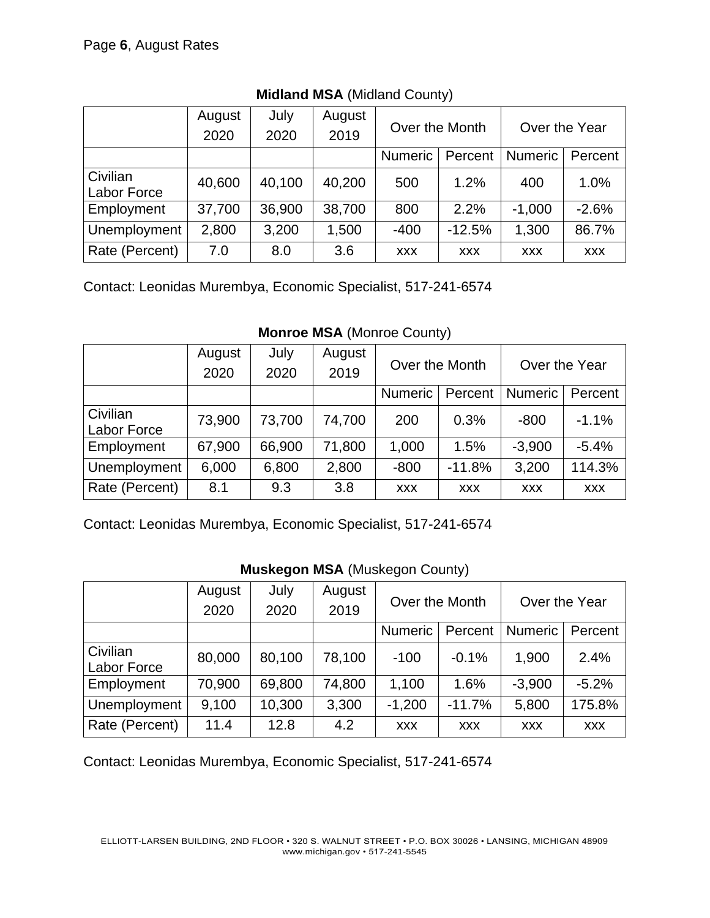|                         | August | July   | August | Over the Month |            | Over the Year  |            |
|-------------------------|--------|--------|--------|----------------|------------|----------------|------------|
|                         | 2020   | 2020   | 2019   |                |            |                |            |
|                         |        |        |        | <b>Numeric</b> | Percent    | <b>Numeric</b> | Percent    |
| Civilian<br>Labor Force | 40,600 | 40,100 | 40,200 | 500            | 1.2%       | 400            | 1.0%       |
| Employment              | 37,700 | 36,900 | 38,700 | 800            | 2.2%       | $-1,000$       | $-2.6%$    |
| Unemployment            | 2,800  | 3,200  | 1,500  | $-400$         | $-12.5%$   | 1,300          | 86.7%      |
| Rate (Percent)          | 7.0    | 8.0    | 3.6    | <b>XXX</b>     | <b>XXX</b> | <b>XXX</b>     | <b>XXX</b> |

**Midland MSA** (Midland County)

Contact: Leonidas Murembya, Economic Specialist, 517-241-6574

**Monroe MSA** (Monroe County)

|                         | August<br>2020 | July<br>2020 | August<br>2019 | Over the Month |            | Over the Year  |            |
|-------------------------|----------------|--------------|----------------|----------------|------------|----------------|------------|
|                         |                |              |                | <b>Numeric</b> | Percent    | <b>Numeric</b> | Percent    |
| Civilian<br>Labor Force | 73,900         | 73,700       | 74,700         | 200            | 0.3%       | $-800$         | $-1.1%$    |
| Employment              | 67,900         | 66,900       | 71,800         | 1,000          | 1.5%       | $-3,900$       | $-5.4%$    |
| Unemployment            | 6,000          | 6,800        | 2,800          | $-800$         | $-11.8%$   | 3,200          | 114.3%     |
| Rate (Percent)          | 8.1            | 9.3          | 3.8            | <b>XXX</b>     | <b>XXX</b> | <b>XXX</b>     | <b>XXX</b> |

Contact: Leonidas Murembya, Economic Specialist, 517-241-6574

|                                | August | July   | August        | Over the Month |            | Over the Year  |            |  |
|--------------------------------|--------|--------|---------------|----------------|------------|----------------|------------|--|
|                                | 2020   | 2020   | 2019          |                |            |                |            |  |
|                                |        |        |               | <b>Numeric</b> | Percent    | <b>Numeric</b> | Percent    |  |
| Civilian<br><b>Labor Force</b> | 80,000 | 80,100 | 78,100        | $-100$         | $-0.1%$    | 1,900          | 2.4%       |  |
| Employment                     | 70,900 | 69,800 | 74,800        | 1,100<br>1.6%  |            | $-3,900$       | $-5.2%$    |  |
| Unemployment                   | 9,100  | 10,300 | 3,300         | $-1,200$       | $-11.7%$   | 5,800          | 175.8%     |  |
| Rate (Percent)                 | 11.4   | 12.8   | $4.2^{\circ}$ | <b>XXX</b>     | <b>XXX</b> | <b>XXX</b>     | <b>XXX</b> |  |

### **Muskegon MSA** (Muskegon County)

Contact: Leonidas Murembya, Economic Specialist, 517-241-6574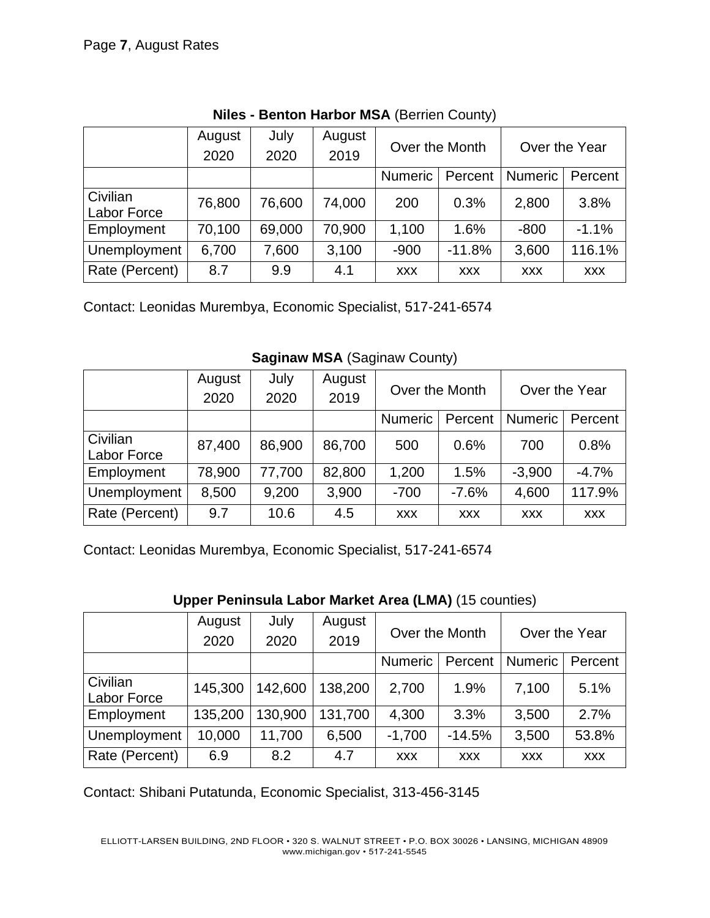|                         | August<br>2020 | July<br>2020 | August<br>2019 |                           | Over the Month | Over the Year  |            |
|-------------------------|----------------|--------------|----------------|---------------------------|----------------|----------------|------------|
|                         |                |              |                | <b>Numeric</b><br>Percent |                | <b>Numeric</b> | Percent    |
| Civilian<br>Labor Force | 76,800         | 76,600       | 74,000         | 200                       | 0.3%           | 2,800          | 3.8%       |
| Employment              | 70,100         | 69,000       | 70,900         | 1,100                     | 1.6%           | $-800$         | $-1.1%$    |
| Unemployment            | 6,700          | 7,600        | 3,100          | $-900$                    | $-11.8%$       | 3,600          | 116.1%     |
| Rate (Percent)          | 8.7            | 9.9          | 4.1            | <b>XXX</b>                | <b>XXX</b>     | <b>XXX</b>     | <b>XXX</b> |

**Niles - Benton Harbor MSA** (Berrien County)

Contact: Leonidas Murembya, Economic Specialist, 517-241-6574

|                                | August<br>2020 | July<br>2020 | August<br>2019 | Over the Month            |            | Over the Year  |            |
|--------------------------------|----------------|--------------|----------------|---------------------------|------------|----------------|------------|
|                                |                |              |                | <b>Numeric</b><br>Percent |            | <b>Numeric</b> | Percent    |
| Civilian<br><b>Labor Force</b> | 87,400         | 86,900       | 86,700         | 500                       | 0.6%       | 700            | 0.8%       |
| Employment                     | 78,900         | 77,700       | 82,800         | 1,200                     | 1.5%       | $-3,900$       | $-4.7%$    |
| Unemployment                   | 8,500          | 9,200        | 3,900          | $-700$                    | $-7.6%$    | 4,600          | 117.9%     |
| Rate (Percent)                 | 9.7            | 10.6         | 4.5            | <b>XXX</b>                | <b>XXX</b> | <b>XXX</b>     | <b>XXX</b> |

**Saginaw MSA** (Saginaw County)

Contact: Leonidas Murembya, Economic Specialist, 517-241-6574

### **Upper Peninsula Labor Market Area (LMA)** (15 counties)

|                                | August  | July    | August  | Over the Month     |            | Over the Year  |            |
|--------------------------------|---------|---------|---------|--------------------|------------|----------------|------------|
|                                | 2020    | 2020    | 2019    |                    |            |                |            |
|                                |         |         |         | Numeric<br>Percent |            | <b>Numeric</b> | Percent    |
| Civilian<br><b>Labor Force</b> | 145,300 | 142,600 | 138,200 | 2,700              | 1.9%       | 7,100          | 5.1%       |
| Employment                     | 135,200 | 130,900 | 131,700 | 4,300              | 3.3%       | 3,500          | 2.7%       |
| Unemployment                   | 10,000  | 11,700  | 6,500   | $-1,700$           | $-14.5%$   | 3,500          | 53.8%      |
| Rate (Percent)                 | 6.9     | 8.2     | 4.7     | <b>XXX</b>         | <b>XXX</b> | <b>XXX</b>     | <b>XXX</b> |

Contact: Shibani Putatunda, Economic Specialist, 313-456-3145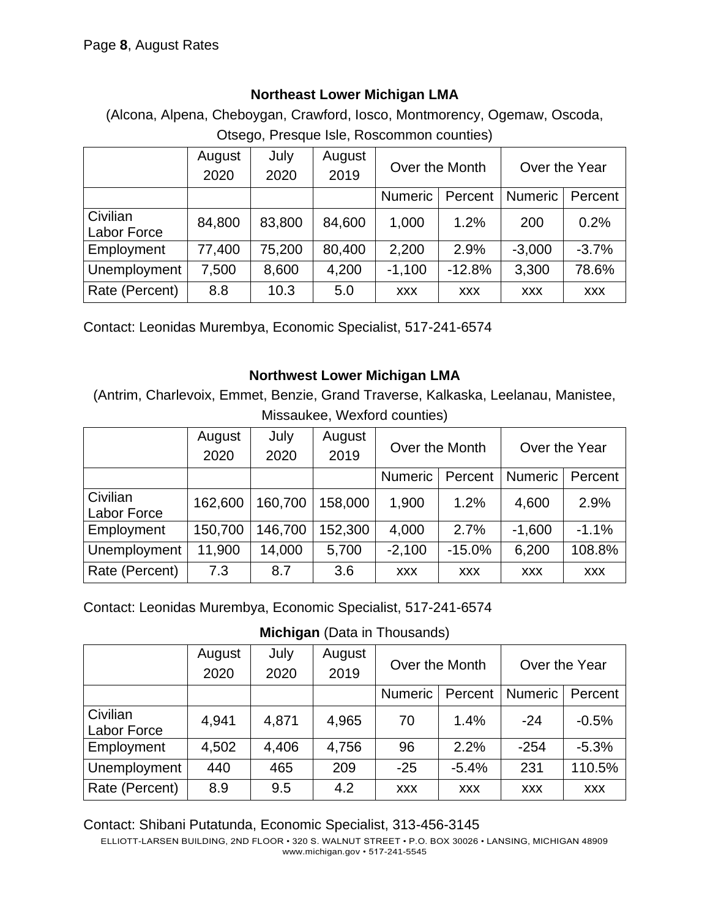### **Northeast Lower Michigan LMA**

(Alcona, Alpena, Cheboygan, Crawford, Iosco, Montmorency, Ogemaw, Oscoda, Otsego, Presque Isle, Roscommon counties)

|                                | August<br>2020 | July<br>2020 | August<br>2019 | Over the Month            |            | Over the Year  |            |
|--------------------------------|----------------|--------------|----------------|---------------------------|------------|----------------|------------|
|                                |                |              |                | <b>Numeric</b><br>Percent |            | <b>Numeric</b> | Percent    |
| Civilian<br><b>Labor Force</b> | 84,800         | 83,800       | 84,600         | 1,000                     | 1.2%       | 200            | 0.2%       |
| Employment                     | 77,400         | 75,200       | 80,400         | 2,200                     | 2.9%       | $-3,000$       | $-3.7%$    |
| Unemployment                   | 7,500          | 8,600        | 4,200          | $-1,100$                  | $-12.8%$   | 3,300          | 78.6%      |
| Rate (Percent)                 | 8.8            | 10.3         | 5.0            | <b>XXX</b>                | <b>XXX</b> | <b>XXX</b>     | <b>XXX</b> |

Contact: Leonidas Murembya, Economic Specialist, 517-241-6574

### **Northwest Lower Michigan LMA**

(Antrim, Charlevoix, Emmet, Benzie, Grand Traverse, Kalkaska, Leelanau, Manistee, Missaukee, Wexford counties)

|                | August<br>2020 | July<br>2020 | August<br>2019 | Over the Month<br><b>Numeric</b><br>Percent |            | Over the Year             |            |  |
|----------------|----------------|--------------|----------------|---------------------------------------------|------------|---------------------------|------------|--|
|                |                |              |                |                                             |            | <b>Numeric</b><br>Percent |            |  |
|                |                |              |                |                                             |            |                           |            |  |
| Civilian       | 162,600        | 160,700      | 158,000        | 1,900                                       | 1.2%       | 4,600                     | 2.9%       |  |
| Labor Force    |                |              |                |                                             |            |                           |            |  |
| Employment     | 150,700        | 146,700      | 152,300        | 4,000                                       | 2.7%       | $-1,600$                  | $-1.1%$    |  |
| Unemployment   | 11,900         | 14,000       | 5,700          | $-2,100$                                    | $-15.0%$   | 6,200                     | 108.8%     |  |
| Rate (Percent) | 7.3            | 8.7          | 3.6            | <b>XXX</b>                                  | <b>XXX</b> | <b>XXX</b>                | <b>XXX</b> |  |

Contact: Leonidas Murembya, Economic Specialist, 517-241-6574

**Michigan** (Data in Thousands)

|                                | August<br>2020 | July<br>2020 | August<br>2019 | Over the Month     |            | Over the Year  |            |
|--------------------------------|----------------|--------------|----------------|--------------------|------------|----------------|------------|
|                                |                |              |                | Numeric<br>Percent |            | <b>Numeric</b> | Percent    |
| Civilian<br><b>Labor Force</b> | 4,941          | 4,871        | 4,965          | 70                 | 1.4%       | $-24$          | $-0.5%$    |
| Employment                     | 4,502          | 4,406        | 4,756          | 96                 | 2.2%       | $-254$         | $-5.3%$    |
| Unemployment                   | 440            | 465          | 209            | $-25$              | $-5.4%$    | 231            | 110.5%     |
| Rate (Percent)                 | 8.9            | 9.5          | $4.2^{\circ}$  | <b>XXX</b>         | <b>XXX</b> | <b>XXX</b>     | <b>XXX</b> |

Contact: Shibani Putatunda, Economic Specialist, 313-456-3145

ELLIOTT-LARSEN BUILDING, 2ND FLOOR • 320 S. WALNUT STREET • P.O. BOX 30026 • LANSING, MICHIGAN 48909 www.michigan.gov • 517-241-5545